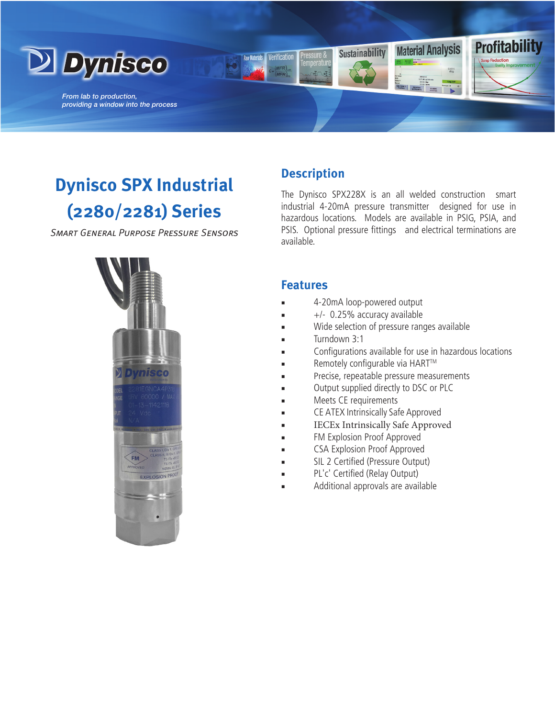

*From lab to production, providing a window into the process*

# **Dynisco SPX Industrial (2280/2281) Series**

*Smart General Purpose Pressure Sensors*



# **Description**

Verification

The Dynisco SPX228X is an all welded construction smart industrial 4-20mA pressure transmitter designed for use in hazardous locations. Models are available in PSIG, PSIA, and PSIS. Optional pressure fittings and electrical terminations are available.

**Material Analysis** 

**Profitability** 

### **Features**

4-20mA loop-powered output

**Sustainability** 

- +/- 0.25% accuracy available
- Wide selection of pressure ranges available
- Turndown 3:1
- Configurations available for use in hazardous locations
- Remotely configurable via HART™
- Precise, repeatable pressure measurements
- Output supplied directly to DSC or PLC
- Meets CE requirements
- CE ATEX Intrinsically Safe Approved
- IECEx Intrinsically Safe Approved
- FM Explosion Proof Approved
- CSA Explosion Proof Approved
- SIL 2 Certified (Pressure Output)
- PL'c' Certified (Relay Output)
- Additional approvals are available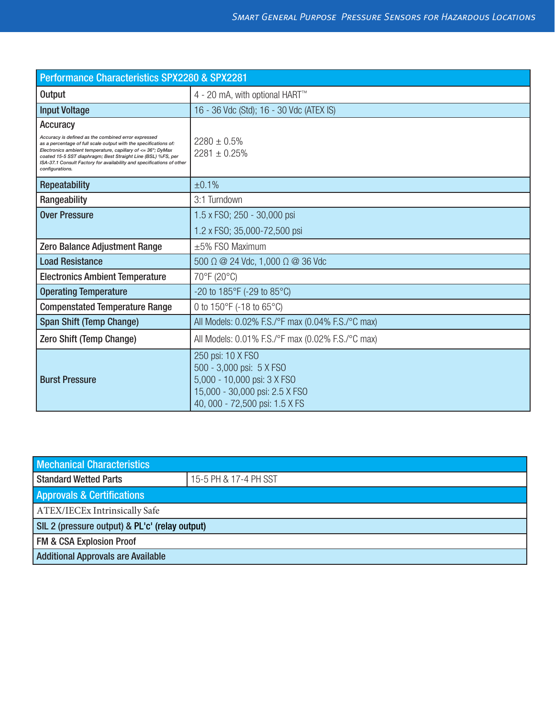| Performance Characteristics SPX2280 & SPX2281                                                                                                                                                                                                                                                                                                                         |                                                                                                                                                  |  |
|-----------------------------------------------------------------------------------------------------------------------------------------------------------------------------------------------------------------------------------------------------------------------------------------------------------------------------------------------------------------------|--------------------------------------------------------------------------------------------------------------------------------------------------|--|
| Output                                                                                                                                                                                                                                                                                                                                                                | 4 - 20 mA, with optional HART™                                                                                                                   |  |
| <b>Input Voltage</b>                                                                                                                                                                                                                                                                                                                                                  | 16 - 36 Vdc (Std); 16 - 30 Vdc (ATEX IS)                                                                                                         |  |
| <b>Accuracy</b><br>Accuracy is defined as the combined error expressed<br>as a percentage of full scale output with the specifications of:<br>Electronics ambient temperature, capillary of <= 36"; DyMax<br>coated 15-5 SST diaphragm; Best Straight Line (BSL) %FS, per<br>ISA-37.1 Consult Factory for availability and specifications of other<br>configurations. | $2280 \pm 0.5\%$<br>$2281 \pm 0.25\%$                                                                                                            |  |
| <b>Repeatability</b>                                                                                                                                                                                                                                                                                                                                                  | ±0.1%                                                                                                                                            |  |
| Rangeability                                                                                                                                                                                                                                                                                                                                                          | 3:1 Turndown                                                                                                                                     |  |
| <b>Over Pressure</b>                                                                                                                                                                                                                                                                                                                                                  | 1.5 x FS0; 250 - 30,000 psi                                                                                                                      |  |
|                                                                                                                                                                                                                                                                                                                                                                       | 1.2 x FS0; 35,000-72,500 psi                                                                                                                     |  |
| Zero Balance Adjustment Range                                                                                                                                                                                                                                                                                                                                         | $\pm 5\%$ FSO Maximum                                                                                                                            |  |
| <b>Load Resistance</b>                                                                                                                                                                                                                                                                                                                                                | 500 $\Omega$ @ 24 Vdc, 1,000 $\Omega$ @ 36 Vdc                                                                                                   |  |
| <b>Electronics Ambient Temperature</b>                                                                                                                                                                                                                                                                                                                                | 70°F (20°C)                                                                                                                                      |  |
| <b>Operating Temperature</b>                                                                                                                                                                                                                                                                                                                                          | -20 to 185°F (-29 to 85°C)                                                                                                                       |  |
| <b>Compenstated Temperature Range</b>                                                                                                                                                                                                                                                                                                                                 | 0 to $150^{\circ}$ F (-18 to 65 $^{\circ}$ C)                                                                                                    |  |
| <b>Span Shift (Temp Change)</b>                                                                                                                                                                                                                                                                                                                                       | All Models: 0.02% F.S./°F max (0.04% F.S./°C max)                                                                                                |  |
| Zero Shift (Temp Change)                                                                                                                                                                                                                                                                                                                                              | All Models: 0.01% F.S./°F max (0.02% F.S./°C max)                                                                                                |  |
| <b>Burst Pressure</b>                                                                                                                                                                                                                                                                                                                                                 | 250 psi: 10 X FSO<br>500 - 3,000 psi: 5 X FSO<br>5,000 - 10,000 psi: 3 X FSO<br>15,000 - 30,000 psi: 2.5 X FSO<br>40, 000 - 72,500 psi: 1.5 X FS |  |

| <b>Mechanical Characteristics</b>              |                       |  |
|------------------------------------------------|-----------------------|--|
| Standard Wetted Parts                          | 15-5 PH & 17-4 PH SST |  |
| <b>Approvals &amp; Certifications</b>          |                       |  |
| ATEX/IECEx Intrinsically Safe                  |                       |  |
| SIL 2 (pressure output) & PL'c' (relay output) |                       |  |
| <b>FM &amp; CSA Explosion Proof</b>            |                       |  |
| <b>Additional Approvals are Available</b>      |                       |  |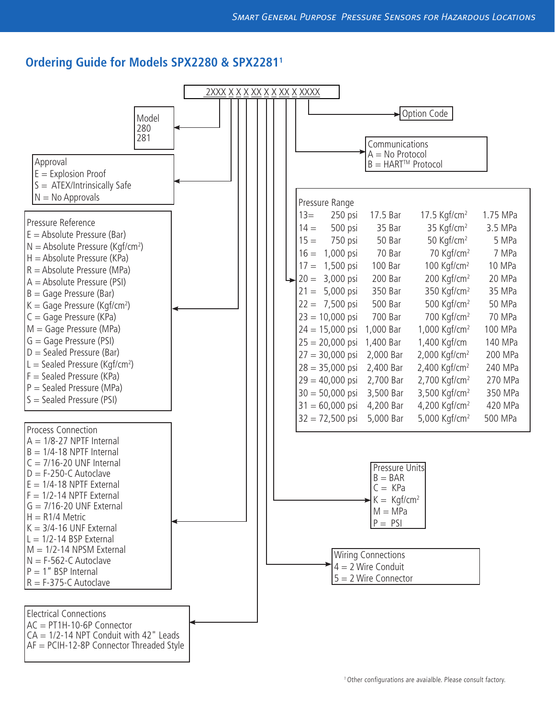### **Ordering Guide for Models SPX2280 & SPX22811**

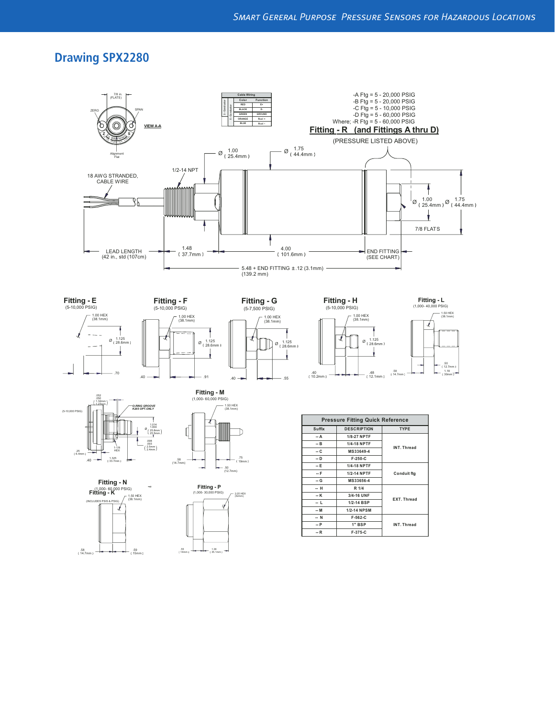# **Drawing SPX2280**



**-- R F-375-C**

.59 15mm .58 14.7mm



1.38 35.1mm

.55 14mm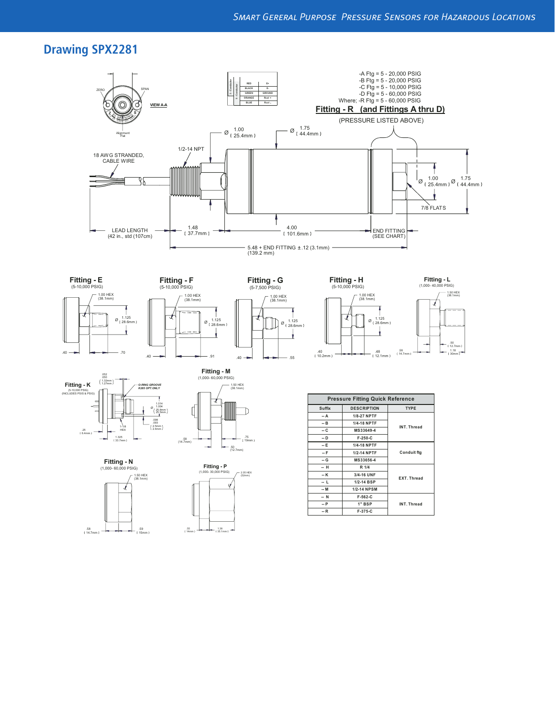# **Drawing SPX2281**









nm)















1.38 35.1mm

.55 14mm

| <b>Pressure Fitting Quick Reference</b> |                    |                    |
|-----------------------------------------|--------------------|--------------------|
| <b>Suffix</b>                           | <b>DESCRIPTION</b> | <b>TYPE</b>        |
| -- A                                    | 1/8-27 NPTF        | INT. Thread        |
| -- B                                    | <b>1/4-18 NPTF</b> |                    |
| -- C                                    | MS33649-4          |                    |
| -- D                                    | F-250-C            |                    |
| -- E                                    | 1/4-18 NPTF        | <b>Conduit ftg</b> |
| -- F                                    | 1/2-14 NPTF        |                    |
| -- G                                    | MS33656-4          |                    |
| -- H                                    | R 1/4              | <b>EXT. Thread</b> |
| -- K                                    | 3/4-16 UNF         |                    |
| - L                                     | 1/2-14 BSP         |                    |
| $- M$                                   | <b>1/2-14 NPSM</b> |                    |
| -- N                                    | $F-562-C$          | INT. Thread        |
| P                                       | 1" BSP             |                    |
| $-R$                                    | $F-375-C$          |                    |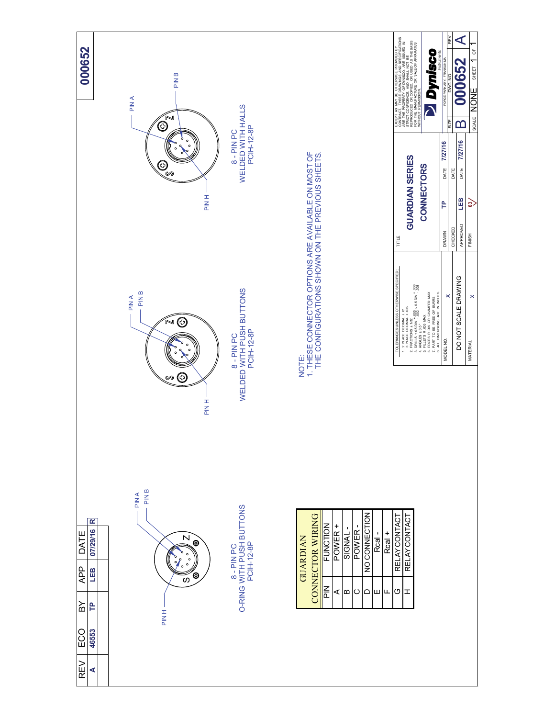